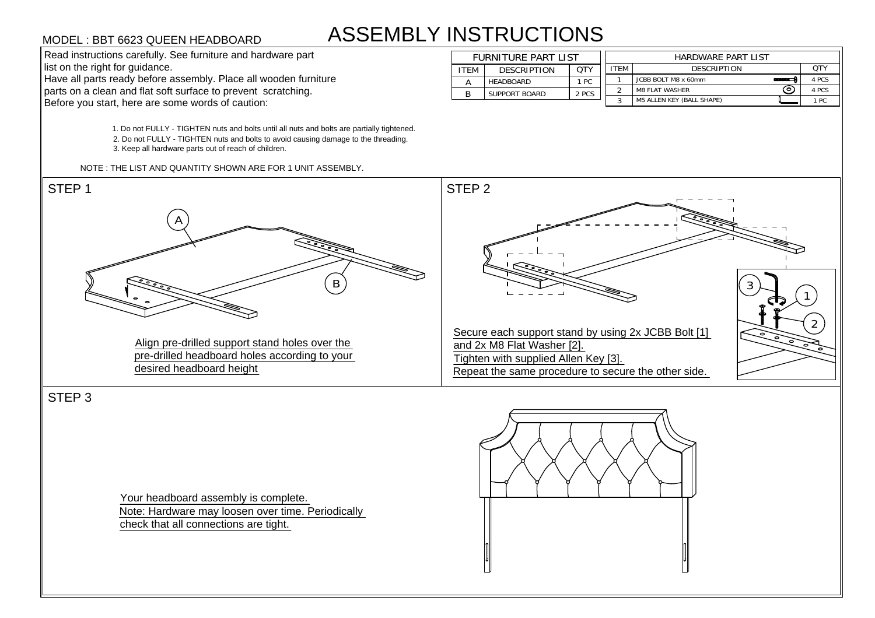## ASSEMBLY INSTRUCTIONS **STRUCTIONS<br>FURNITURE PART LIST<br>ITEM DESCRIPTION QTY**

1. Do not FULLY - TIGHTEN nuts and bolts until all nuts and bolts are partially tightened. 1. Do not FULLY - TIGHTEN nuts and bolts until all nuts and bolts are partially tightene<br>2. Do not FULLY - TIGHTEN nuts and bolts to avoid causing damage to the threading. 2. Do not FULLY - TIGHTEN nuts and bolts to avoid causing damage to the threading.<br>3. Keep all hardware parts out of reach of children.

NOTE : THE LIST AND QUANTITY SHOWN ARE FOR 1 UNIT ASSEMBLY.

| <b>ASSEMBLY INSTRUCTIONS</b><br>MODEL : BBT 6623 QUEEN HEADBOARD |             |                            |       |             |                                  |  |       |  |
|------------------------------------------------------------------|-------------|----------------------------|-------|-------------|----------------------------------|--|-------|--|
| Read instructions carefully. See furniture and hardware part     |             | <b>FURNITURE PART LIST</b> |       |             | <b>HARDWARE PART LIST</b>        |  |       |  |
| list on the right for guidance.                                  | <b>ITEM</b> | <b>DESCRIPTION</b>         | QTY   | <b>ITEM</b> | DESCRIPTION                      |  | QTY   |  |
| Have all parts ready before assembly. Place all wooden furniture |             | HEADBOARD                  | 1 PC  |             | JCBB BOLT M8 x 60mm              |  | 4 PCS |  |
| parts on a clean and flat soft surface to prevent scratching.    |             | <b>SUPPORT BOARD</b>       | 2 PCS |             | <b>M8 FLAT WASHER</b>            |  | 4 PCS |  |
| Before you start, here are some words of caution:                |             |                            |       |             | <b>M5 ALLEN KEY (BALL SHAPE)</b> |  | 1 PC  |  |



STEP 3

Your headboard assembly is complete. Note: Hardware may loosen over time. Periodically